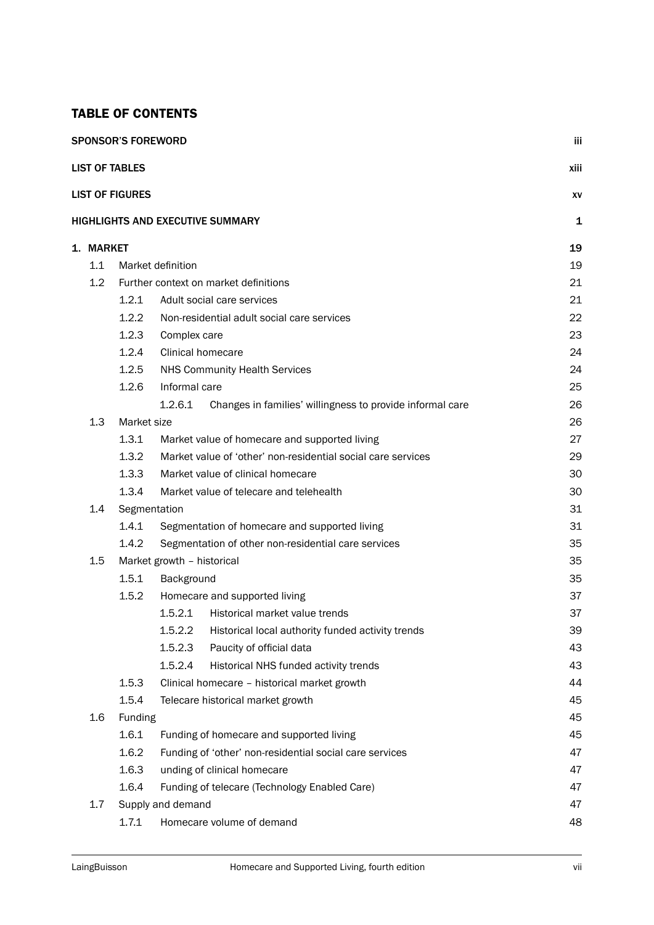## TABLE OF CONTENTS

|           | <b>SPONSOR'S FOREWORD</b> |                                                                      | iii  |  |
|-----------|---------------------------|----------------------------------------------------------------------|------|--|
|           | <b>LIST OF TABLES</b>     |                                                                      | xiii |  |
|           | <b>LIST OF FIGURES</b>    |                                                                      | XV   |  |
|           |                           | HIGHLIGHTS AND EXECUTIVE SUMMARY                                     | 1    |  |
| 1. MARKET |                           |                                                                      | 19   |  |
| 1.1       |                           | Market definition                                                    | 19   |  |
| 1.2       |                           | Further context on market definitions                                | 21   |  |
|           | 1.2.1                     | Adult social care services                                           | 21   |  |
|           | 1.2.2                     | Non-residential adult social care services                           | 22   |  |
|           | 1.2.3                     | Complex care                                                         | 23   |  |
|           | 1.2.4                     | <b>Clinical homecare</b>                                             | 24   |  |
|           | 1.2.5                     | <b>NHS Community Health Services</b>                                 | 24   |  |
|           | 1.2.6                     | Informal care                                                        | 25   |  |
|           |                           | 1.2.6.1<br>Changes in families' willingness to provide informal care | 26   |  |
| 1.3       | Market size               |                                                                      | 26   |  |
|           | 1.3.1                     | Market value of homecare and supported living                        | 27   |  |
|           | 1.3.2                     | Market value of 'other' non-residential social care services         | 29   |  |
|           | 1.3.3                     | Market value of clinical homecare                                    | 30   |  |
|           | 1.3.4                     | Market value of telecare and telehealth                              | 30   |  |
|           | 1.4<br>Segmentation       |                                                                      |      |  |
|           | 1.4.1                     | Segmentation of homecare and supported living                        | 31   |  |
|           | 1.4.2                     | Segmentation of other non-residential care services                  | 35   |  |
| 1.5       |                           | Market growth - historical                                           | 35   |  |
|           | 1.5.1                     | Background                                                           | 35   |  |
|           | 1.5.2                     | Homecare and supported living                                        | 37   |  |
|           |                           | 1.5.2.1<br>Historical market value trends                            | 37   |  |
|           |                           | 1.5.2.2<br>Historical local authority funded activity trends         | 39   |  |
|           |                           | 1.5.2.3<br>Paucity of official data                                  | 43   |  |
|           |                           | 1.5.2.4<br>Historical NHS funded activity trends                     | 43   |  |
|           | 1.5.3                     | Clinical homecare - historical market growth                         | 44   |  |
|           | 1.5.4                     | Telecare historical market growth                                    | 45   |  |
| 1.6       | Funding                   |                                                                      | 45   |  |
|           | 1.6.1                     | Funding of homecare and supported living                             | 45   |  |
|           | 1.6.2                     | Funding of 'other' non-residential social care services              | 47   |  |
|           | 1.6.3                     | unding of clinical homecare                                          | 47   |  |
|           | 1.6.4                     | Funding of telecare (Technology Enabled Care)                        | 47   |  |
| 1.7       |                           | Supply and demand                                                    | 47   |  |
|           | 1.7.1                     | Homecare volume of demand                                            | 48   |  |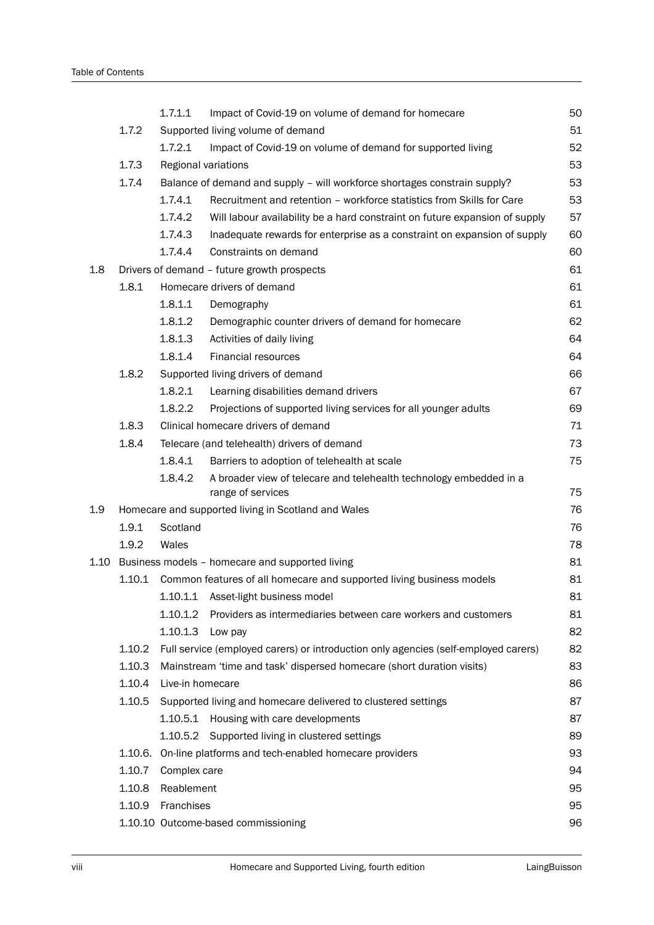|     |                                                            | 1.7.1.1                                               | Impact of Covid-19 on volume of demand for homecare                                 | 50       |  |  |  |
|-----|------------------------------------------------------------|-------------------------------------------------------|-------------------------------------------------------------------------------------|----------|--|--|--|
|     | 1.7.2                                                      |                                                       | Supported living volume of demand                                                   | 51       |  |  |  |
|     |                                                            | 1.7.2.1                                               | Impact of Covid-19 on volume of demand for supported living                         | 52       |  |  |  |
|     | 1.7.3                                                      |                                                       | Regional variations                                                                 | 53       |  |  |  |
|     | 1.7.4                                                      |                                                       | Balance of demand and supply - will workforce shortages constrain supply?           | 53       |  |  |  |
|     |                                                            | 1.7.4.1                                               | Recruitment and retention - workforce statistics from Skills for Care               | 53       |  |  |  |
|     |                                                            | 1.7.4.2                                               | Will labour availability be a hard constraint on future expansion of supply         | 57       |  |  |  |
|     |                                                            | 1.7.4.3                                               | Inadequate rewards for enterprise as a constraint on expansion of supply            | 60       |  |  |  |
|     |                                                            | 1.7.4.4                                               | Constraints on demand                                                               | 60       |  |  |  |
| 1.8 |                                                            | Drivers of demand - future growth prospects           |                                                                                     |          |  |  |  |
|     | 1.8.1                                                      |                                                       | Homecare drivers of demand                                                          | 61       |  |  |  |
|     |                                                            | 1.8.1.1                                               | Demography                                                                          | 61       |  |  |  |
|     |                                                            | 1.8.1.2                                               | Demographic counter drivers of demand for homecare                                  | 62       |  |  |  |
|     |                                                            | 1.8.1.3                                               | Activities of daily living                                                          | 64       |  |  |  |
|     |                                                            | 1.8.1.4                                               | <b>Financial resources</b>                                                          | 64       |  |  |  |
|     | 1.8.2                                                      |                                                       | Supported living drivers of demand                                                  | 66       |  |  |  |
|     |                                                            | 1.8.2.1                                               | Learning disabilities demand drivers                                                | 67       |  |  |  |
|     |                                                            | 1,8.2.2                                               | Projections of supported living services for all younger adults                     | 69       |  |  |  |
|     | 1.8.3                                                      |                                                       | Clinical homecare drivers of demand                                                 | 71       |  |  |  |
|     | 1.8.4                                                      |                                                       | Telecare (and telehealth) drivers of demand                                         | 73       |  |  |  |
|     |                                                            | 1.8.4.1                                               | Barriers to adoption of telehealth at scale                                         | 75       |  |  |  |
|     |                                                            | 1.8.4.2                                               | A broader view of telecare and telehealth technology embedded in a                  |          |  |  |  |
|     |                                                            |                                                       | range of services                                                                   | 75       |  |  |  |
| 1.9 |                                                            |                                                       | Homecare and supported living in Scotland and Wales                                 | 76       |  |  |  |
|     | 1.9.1                                                      | Scotland                                              |                                                                                     | 76       |  |  |  |
|     | 1.9.2                                                      | Wales                                                 |                                                                                     | 78       |  |  |  |
|     | 81<br>1.10 Business models - homecare and supported living |                                                       |                                                                                     |          |  |  |  |
|     |                                                            |                                                       | 1.10.1 Common features of all homecare and supported living business models         | 81       |  |  |  |
|     |                                                            | 1.10.1.1                                              | Asset-light business model                                                          | 81       |  |  |  |
|     |                                                            | 1.10.1.2                                              | Providers as intermediaries between care workers and customers                      | 81       |  |  |  |
|     |                                                            | 1.10.1.3                                              | Low pay                                                                             | 82       |  |  |  |
|     | 1.10.2                                                     |                                                       | Full service (employed carers) or introduction only agencies (self-employed carers) | 82       |  |  |  |
|     | 1.10.3                                                     |                                                       | Mainstream 'time and task' dispersed homecare (short duration visits)               | 83       |  |  |  |
|     | 1.10.4                                                     | Live-in homecare                                      |                                                                                     | 86       |  |  |  |
|     | 1.10.5                                                     |                                                       | Supported living and homecare delivered to clustered settings                       | 87       |  |  |  |
|     |                                                            |                                                       | 1.10.5.1 Housing with care developments                                             | 87       |  |  |  |
|     |                                                            |                                                       | 1.10.5.2 Supported living in clustered settings                                     | 89<br>93 |  |  |  |
|     | 1.10.6.                                                    | On-line platforms and tech-enabled homecare providers |                                                                                     |          |  |  |  |
|     | 1.10.7                                                     | Complex care                                          |                                                                                     | 94       |  |  |  |
|     | 1.10.8                                                     | Reablement                                            |                                                                                     | 95       |  |  |  |
|     | 1.10.9                                                     | Franchises                                            |                                                                                     | 95       |  |  |  |
|     |                                                            |                                                       | 1.10.10 Outcome-based commissioning                                                 | 96       |  |  |  |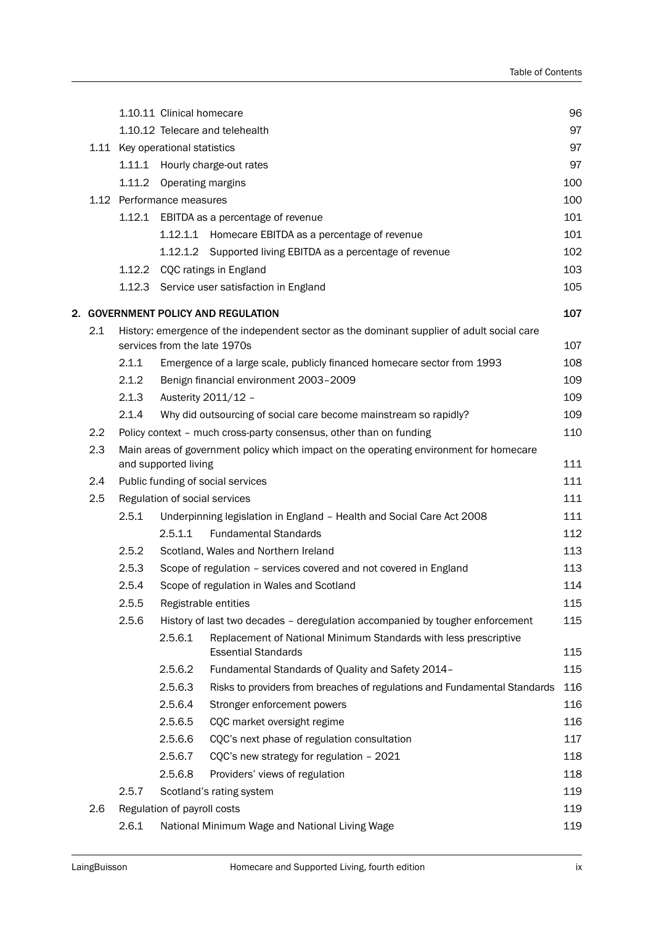|     |        | 1.10.11 Clinical homecare       |                                                                                            | 96  |
|-----|--------|---------------------------------|--------------------------------------------------------------------------------------------|-----|
|     |        |                                 | 1.10.12 Telecare and telehealth                                                            | 97  |
|     |        | 1.11 Key operational statistics |                                                                                            | 97  |
|     |        |                                 | 1.11.1 Hourly charge-out rates                                                             | 97  |
|     | 1.11.2 | Operating margins               |                                                                                            | 100 |
|     |        | 1.12 Performance measures       |                                                                                            | 100 |
|     |        |                                 | 1.12.1 EBITDA as a percentage of revenue                                                   | 101 |
|     |        |                                 | 1.12.1.1 Homecare EBITDA as a percentage of revenue                                        | 101 |
|     |        |                                 | 1.12.1.2 Supported living EBITDA as a percentage of revenue                                | 102 |
|     |        |                                 | 1.12.2 CQC ratings in England                                                              | 103 |
|     |        |                                 | 1.12.3 Service user satisfaction in England                                                | 105 |
|     |        |                                 | 2. GOVERNMENT POLICY AND REGULATION                                                        | 107 |
| 2.1 |        |                                 | History: emergence of the independent sector as the dominant supplier of adult social care |     |
|     |        | services from the late 1970s    |                                                                                            | 107 |
|     | 2.1.1  |                                 | Emergence of a large scale, publicly financed homecare sector from 1993                    | 108 |
|     | 2.1.2  |                                 | Benign financial environment 2003-2009                                                     | 109 |
|     | 2.1.3  |                                 | Austerity 2011/12 -                                                                        | 109 |
|     | 2.1.4  |                                 | Why did outsourcing of social care become mainstream so rapidly?                           | 109 |
| 2.2 |        |                                 | Policy context - much cross-party consensus, other than on funding                         | 110 |
| 2.3 |        | and supported living            | Main areas of government policy which impact on the operating environment for homecare     | 111 |
| 2.4 |        |                                 | Public funding of social services                                                          | 111 |
| 2.5 |        | Regulation of social services   |                                                                                            | 111 |
|     | 2.5.1  |                                 | Underpinning legislation in England - Health and Social Care Act 2008                      | 111 |
|     |        | 2.5.1.1                         | <b>Fundamental Standards</b>                                                               | 112 |
|     | 2.5.2  |                                 | Scotland, Wales and Northern Ireland                                                       | 113 |
|     | 2.5.3  |                                 | Scope of regulation - services covered and not covered in England                          | 113 |
|     | 2.5.4  |                                 | Scope of regulation in Wales and Scotland                                                  | 114 |
|     | 2.5.5  | Registrable entities            |                                                                                            | 115 |
|     | 2.5.6  |                                 | History of last two decades - deregulation accompanied by tougher enforcement              | 115 |
|     |        | 2.5.6.1                         | Replacement of National Minimum Standards with less prescriptive                           |     |
|     |        |                                 | <b>Essential Standards</b>                                                                 | 115 |
|     |        | 2.5.6.2                         | Fundamental Standards of Quality and Safety 2014-                                          | 115 |
|     |        | 2.5.6.3                         | Risks to providers from breaches of regulations and Fundamental Standards                  | 116 |
|     |        | 2.5.6.4                         | Stronger enforcement powers                                                                | 116 |
|     |        | 2.5.6.5                         | CQC market oversight regime                                                                | 116 |
|     |        | 2.5.6.6                         | CQC's next phase of regulation consultation                                                | 117 |
|     |        | 2.5.6.7                         | CQC's new strategy for regulation - 2021                                                   | 118 |
|     |        | 2.5.6.8                         | Providers' views of regulation                                                             | 118 |
|     | 2.5.7  |                                 | Scotland's rating system                                                                   | 119 |
| 2.6 |        | Regulation of payroll costs     |                                                                                            | 119 |
|     | 2.6.1  |                                 | National Minimum Wage and National Living Wage                                             | 119 |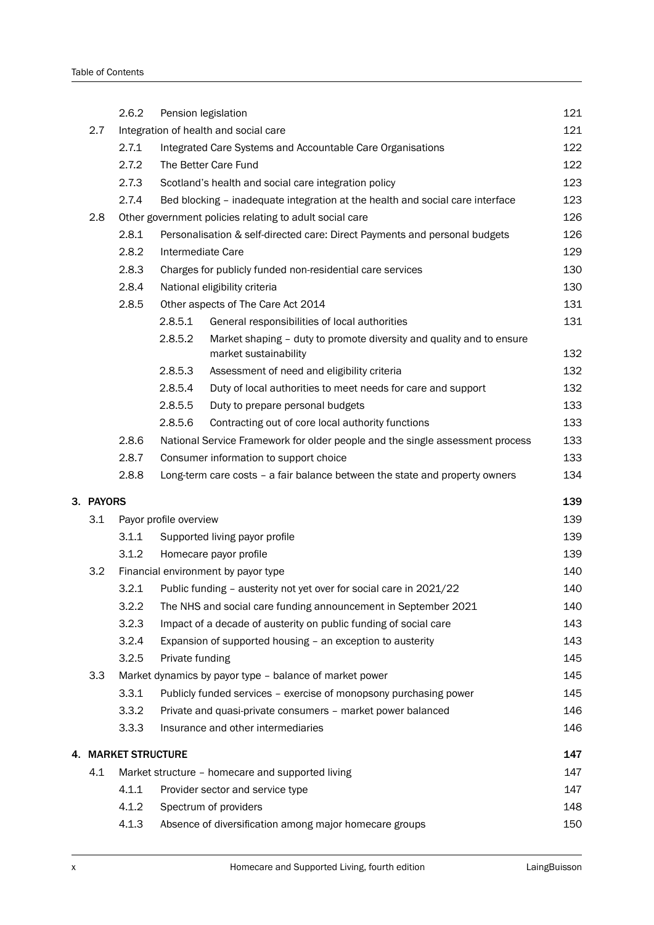|           | 2.6.2               | Pension legislation    |                                                                                               | 121 |
|-----------|---------------------|------------------------|-----------------------------------------------------------------------------------------------|-----|
| 2.7       |                     |                        | Integration of health and social care                                                         | 121 |
|           | 2.7.1               |                        | Integrated Care Systems and Accountable Care Organisations                                    | 122 |
|           | 2.7.2               |                        | The Better Care Fund                                                                          | 122 |
|           | 2.7.3               |                        | Scotland's health and social care integration policy                                          | 123 |
|           | 2.7.4               |                        | Bed blocking - inadequate integration at the health and social care interface                 | 123 |
| 2.8       |                     |                        | Other government policies relating to adult social care                                       | 126 |
|           | 2.8.1               |                        | Personalisation & self-directed care: Direct Payments and personal budgets                    | 126 |
|           | 2.8.2               | Intermediate Care      |                                                                                               | 129 |
|           | 2.8.3               |                        | Charges for publicly funded non-residential care services                                     | 130 |
|           | 2.8.4               |                        | National eligibility criteria                                                                 | 130 |
|           | 2.8.5               |                        | Other aspects of The Care Act 2014                                                            | 131 |
|           |                     | 2.8.5.1                | General responsibilities of local authorities                                                 | 131 |
|           |                     | 2.8.5.2                | Market shaping - duty to promote diversity and quality and to ensure<br>market sustainability | 132 |
|           |                     | 2.8.5.3                | Assessment of need and eligibility criteria                                                   | 132 |
|           |                     | 2.8.5.4                | Duty of local authorities to meet needs for care and support                                  | 132 |
|           |                     | 2.8.5.5                | Duty to prepare personal budgets                                                              | 133 |
|           |                     | 2.8.5.6                | Contracting out of core local authority functions                                             | 133 |
|           | 2.8.6               |                        | National Service Framework for older people and the single assessment process                 | 133 |
|           | 2.8.7               |                        | Consumer information to support choice                                                        | 133 |
|           | 2.8.8               |                        | Long-term care costs - a fair balance between the state and property owners                   | 134 |
| 3. PAYORS |                     |                        |                                                                                               | 139 |
| 3.1       |                     | Payor profile overview |                                                                                               | 139 |
|           | 3.1.1               |                        | Supported living payor profile                                                                | 139 |
|           | 3.1.2               |                        | Homecare payor profile                                                                        | 139 |
| 3.2       |                     |                        | Financial environment by payor type                                                           | 140 |
|           | 3.2.1               |                        | Public funding - austerity not yet over for social care in 2021/22                            | 140 |
|           | 3.2.2               |                        | The NHS and social care funding announcement in September 2021                                | 140 |
|           | 3.2.3               |                        | Impact of a decade of austerity on public funding of social care                              | 143 |
|           | 3.2.4               |                        | Expansion of supported housing - an exception to austerity                                    | 143 |
|           | 3.2.5               | Private funding        |                                                                                               | 145 |
| 3.3       |                     |                        | Market dynamics by payor type - balance of market power                                       | 145 |
|           | 3.3.1               |                        | Publicly funded services - exercise of monopsony purchasing power                             | 145 |
|           | 3.3.2               |                        | Private and quasi-private consumers - market power balanced                                   | 146 |
|           | 3.3.3               |                        | Insurance and other intermediaries                                                            | 146 |
|           | 4. MARKET STRUCTURE |                        |                                                                                               | 147 |
| 4.1       |                     |                        | Market structure - homecare and supported living                                              | 147 |
|           | 4.1.1               |                        | Provider sector and service type                                                              | 147 |
|           | 4.1.2               |                        | Spectrum of providers                                                                         | 148 |
|           | 4.1.3               |                        | Absence of diversification among major homecare groups                                        | 150 |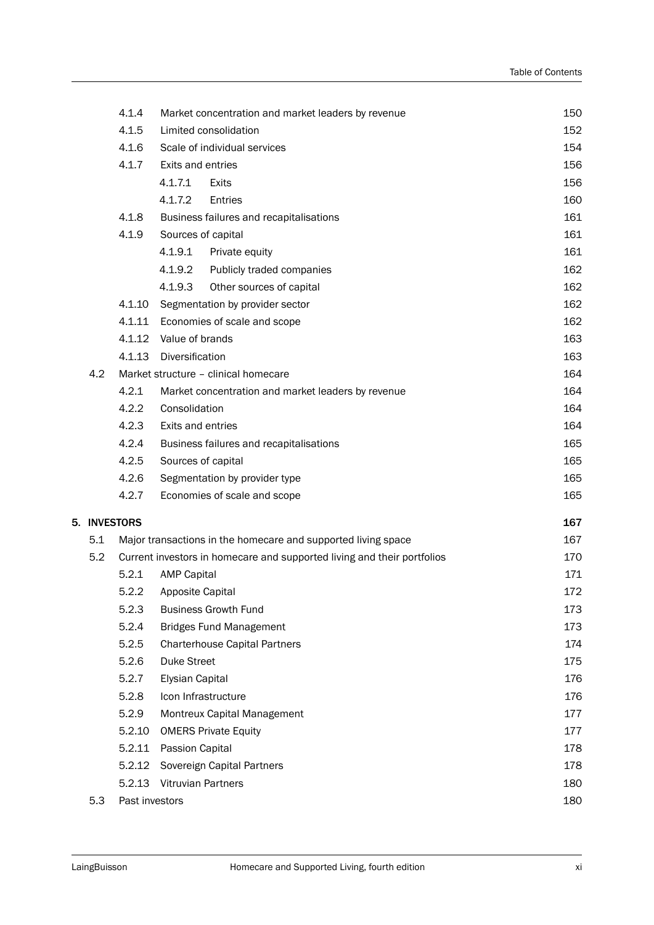|              | 4.1.4                                                         | Market concentration and market leaders by revenue                      | 150 |
|--------------|---------------------------------------------------------------|-------------------------------------------------------------------------|-----|
|              | 4.1.5                                                         | Limited consolidation                                                   | 152 |
|              | 4.1.6                                                         | Scale of individual services                                            | 154 |
|              | 4.1.7                                                         | Exits and entries                                                       | 156 |
|              |                                                               | 4.1.7.1<br>Exits                                                        | 156 |
|              |                                                               | 4.1.7.2<br>Entries                                                      | 160 |
|              | 4.1.8                                                         | Business failures and recapitalisations                                 | 161 |
|              | 4.1.9                                                         | Sources of capital                                                      | 161 |
|              |                                                               | 4.1.9.1<br>Private equity                                               | 161 |
|              |                                                               | 4.1.9.2<br>Publicly traded companies                                    | 162 |
|              |                                                               | 4.1.9.3<br>Other sources of capital                                     | 162 |
|              | 4.1.10                                                        | Segmentation by provider sector                                         | 162 |
|              |                                                               | 4.1.11 Economies of scale and scope                                     | 162 |
|              |                                                               | 4.1.12 Value of brands                                                  | 163 |
|              | 4.1.13                                                        | Diversification                                                         | 163 |
| 4.2          |                                                               | Market structure - clinical homecare                                    | 164 |
|              | 4.2.1                                                         | Market concentration and market leaders by revenue                      | 164 |
|              | 4.2.2                                                         | Consolidation                                                           | 164 |
|              | 4.2.3                                                         | Exits and entries                                                       | 164 |
|              | 4.2.4                                                         | Business failures and recapitalisations                                 | 165 |
|              | 4.2.5                                                         | Sources of capital                                                      | 165 |
|              | 4.2.6                                                         | Segmentation by provider type                                           | 165 |
|              | 4.2.7                                                         | Economies of scale and scope                                            | 165 |
| 5. INVESTORS |                                                               |                                                                         | 167 |
| 5.1          | Major transactions in the homecare and supported living space | 167                                                                     |     |
| 5.2          |                                                               | Current investors in homecare and supported living and their portfolios | 170 |
|              | 5.2.1                                                         | <b>AMP Capital</b>                                                      | 171 |
|              | 5.2.2                                                         | Apposite Capital                                                        | 172 |
|              | 5.2.3                                                         | <b>Business Growth Fund</b>                                             | 173 |
|              | 5.2.4                                                         | <b>Bridges Fund Management</b>                                          | 173 |
|              | 5.2.5                                                         | <b>Charterhouse Capital Partners</b>                                    | 174 |
|              | 5.2.6                                                         | <b>Duke Street</b>                                                      | 175 |
|              | 5.2.7                                                         | <b>Elysian Capital</b>                                                  | 176 |
|              | 5.2.8                                                         | Icon Infrastructure                                                     | 176 |
|              | 5.2.9                                                         | Montreux Capital Management                                             | 177 |
|              | 5.2.10                                                        | <b>OMERS Private Equity</b>                                             | 177 |
|              | 5.2.11                                                        | Passion Capital                                                         | 178 |
|              | 5.2.12                                                        | Sovereign Capital Partners                                              | 178 |
|              | 5.2.13                                                        | <b>Vitruvian Partners</b>                                               | 180 |
| 5.3          | Past investors                                                |                                                                         | 180 |
|              |                                                               |                                                                         |     |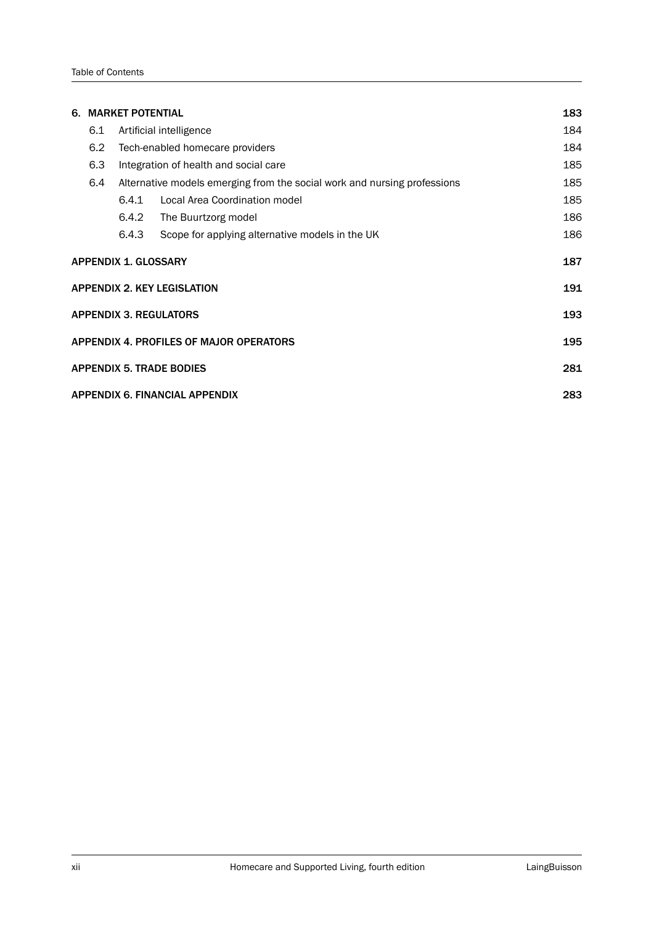| 6.                                        | <b>MARKET POTENTIAL</b>               |                                 |                                                                          |     |  |  |  |  |
|-------------------------------------------|---------------------------------------|---------------------------------|--------------------------------------------------------------------------|-----|--|--|--|--|
|                                           | 6.1                                   |                                 | Artificial intelligence                                                  |     |  |  |  |  |
|                                           | 6.2                                   | Tech-enabled homecare providers | 184                                                                      |     |  |  |  |  |
|                                           | 6.3                                   |                                 | Integration of health and social care                                    | 185 |  |  |  |  |
|                                           | 6.4                                   |                                 | Alternative models emerging from the social work and nursing professions | 185 |  |  |  |  |
|                                           |                                       | 6.4.1                           | Local Area Coordination model                                            | 185 |  |  |  |  |
|                                           |                                       | 6.4.2                           | The Buurtzorg model                                                      | 186 |  |  |  |  |
|                                           |                                       | 6.4.3                           | Scope for applying alternative models in the UK                          | 186 |  |  |  |  |
| <b>APPENDIX 1. GLOSSARY</b><br>187        |                                       |                                 |                                                                          |     |  |  |  |  |
| <b>APPENDIX 2. KEY LEGISLATION</b><br>191 |                                       |                                 |                                                                          |     |  |  |  |  |
|                                           |                                       |                                 | <b>APPENDIX 3. REGULATORS</b>                                            | 193 |  |  |  |  |
|                                           |                                       |                                 | APPENDIX 4. PROFILES OF MAJOR OPERATORS                                  | 195 |  |  |  |  |
|                                           |                                       |                                 | <b>APPENDIX 5. TRADE BODIES</b>                                          | 281 |  |  |  |  |
|                                           | 283<br>APPENDIX 6. FINANCIAL APPENDIX |                                 |                                                                          |     |  |  |  |  |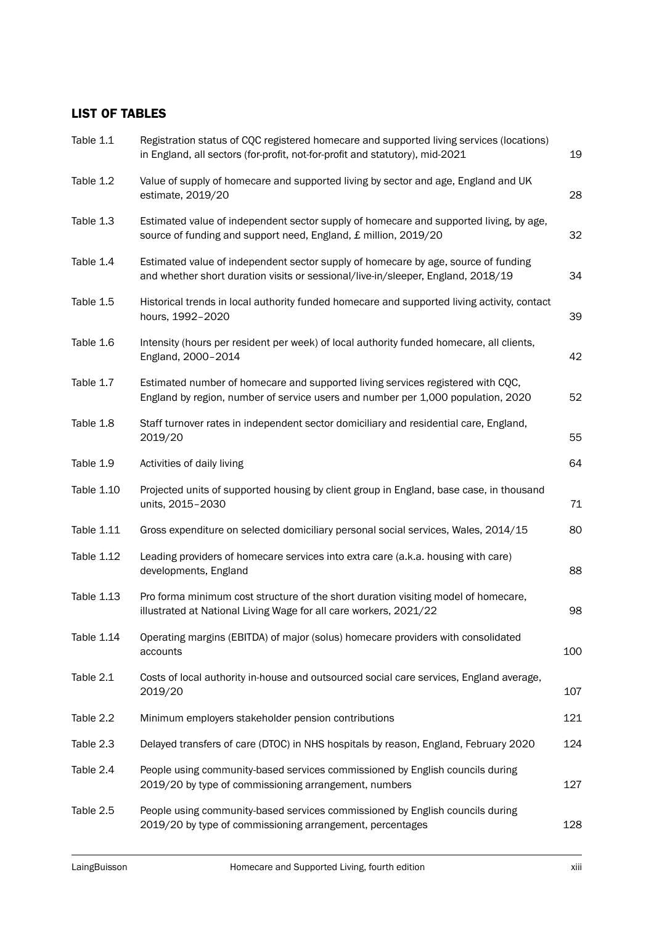## LIST OF TABLES

| Table 1.1  | Registration status of CQC registered homecare and supported living services (locations)<br>in England, all sectors (for-profit, not-for-profit and statutory), mid-2021 | 19  |
|------------|--------------------------------------------------------------------------------------------------------------------------------------------------------------------------|-----|
| Table 1.2  | Value of supply of homecare and supported living by sector and age, England and UK<br>estimate, 2019/20                                                                  | 28  |
| Table 1.3  | Estimated value of independent sector supply of homecare and supported living, by age,<br>source of funding and support need, England, £ million, 2019/20                | 32  |
| Table 1.4  | Estimated value of independent sector supply of homecare by age, source of funding<br>and whether short duration visits or sessional/live-in/sleeper, England, 2018/19   | 34  |
| Table 1.5  | Historical trends in local authority funded homecare and supported living activity, contact<br>hours, 1992-2020                                                          | 39  |
| Table 1.6  | Intensity (hours per resident per week) of local authority funded homecare, all clients,<br>England, 2000-2014                                                           | 42  |
| Table 1.7  | Estimated number of homecare and supported living services registered with CQC,<br>England by region, number of service users and number per 1,000 population, 2020      | 52  |
| Table 1.8  | Staff turnover rates in independent sector domiciliary and residential care, England,<br>2019/20                                                                         | 55  |
| Table 1.9  | Activities of daily living                                                                                                                                               | 64  |
| Table 1.10 | Projected units of supported housing by client group in England, base case, in thousand<br>units, 2015-2030                                                              | 71  |
| Table 1.11 | Gross expenditure on selected domiciliary personal social services, Wales, 2014/15                                                                                       | 80  |
| Table 1.12 | Leading providers of homecare services into extra care (a.k.a. housing with care)<br>developments, England                                                               | 88  |
| Table 1.13 | Pro forma minimum cost structure of the short duration visiting model of homecare,<br>illustrated at National Living Wage for all care workers, 2021/22                  | 98  |
| Table 1.14 | Operating margins (EBITDA) of major (solus) homecare providers with consolidated<br>accounts                                                                             | 100 |
| Table 2.1  | Costs of local authority in-house and outsourced social care services, England average,<br>2019/20                                                                       | 107 |
| Table 2.2  | Minimum employers stakeholder pension contributions                                                                                                                      | 121 |
| Table 2.3  | Delayed transfers of care (DTOC) in NHS hospitals by reason, England, February 2020                                                                                      | 124 |
| Table 2.4  | People using community-based services commissioned by English councils during<br>2019/20 by type of commissioning arrangement, numbers                                   | 127 |
| Table 2.5  | People using community-based services commissioned by English councils during<br>2019/20 by type of commissioning arrangement, percentages                               | 128 |
|            |                                                                                                                                                                          |     |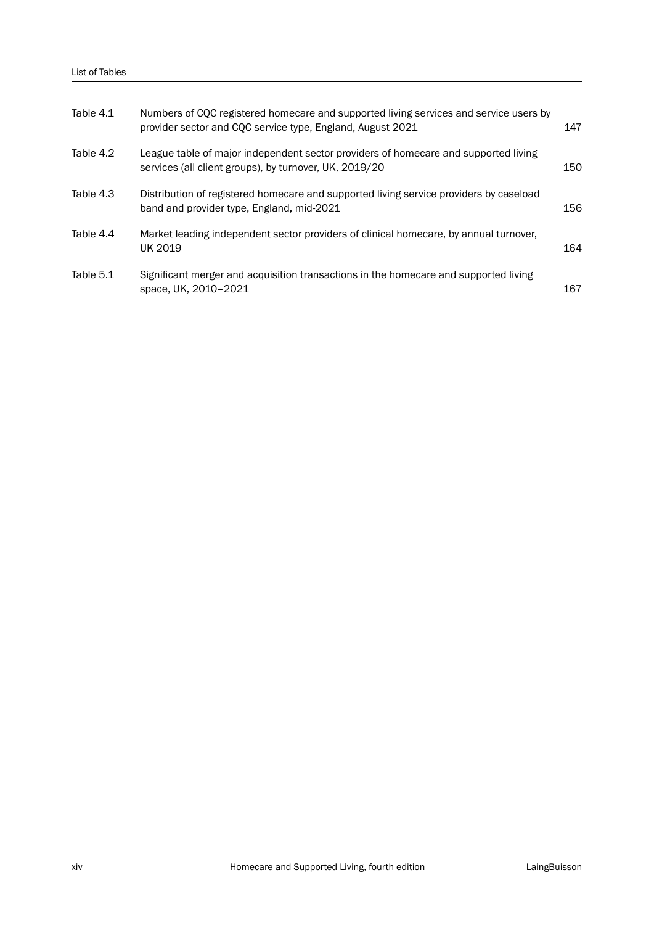| Table 4.1 | Numbers of CQC registered homecare and supported living services and service users by<br>provider sector and CQC service type, England, August 2021 | 147 |
|-----------|-----------------------------------------------------------------------------------------------------------------------------------------------------|-----|
| Table 4.2 | League table of major independent sector providers of homecare and supported living<br>services (all client groups), by turnover, UK, 2019/20       | 150 |
| Table 4.3 | Distribution of registered homecare and supported living service providers by caseload<br>band and provider type, England, mid-2021                 | 156 |
| Table 4.4 | Market leading independent sector providers of clinical homecare, by annual turnover,<br>UK 2019                                                    | 164 |
| Table 5.1 | Significant merger and acquisition transactions in the homecare and supported living<br>space, UK, 2010-2021                                        | 167 |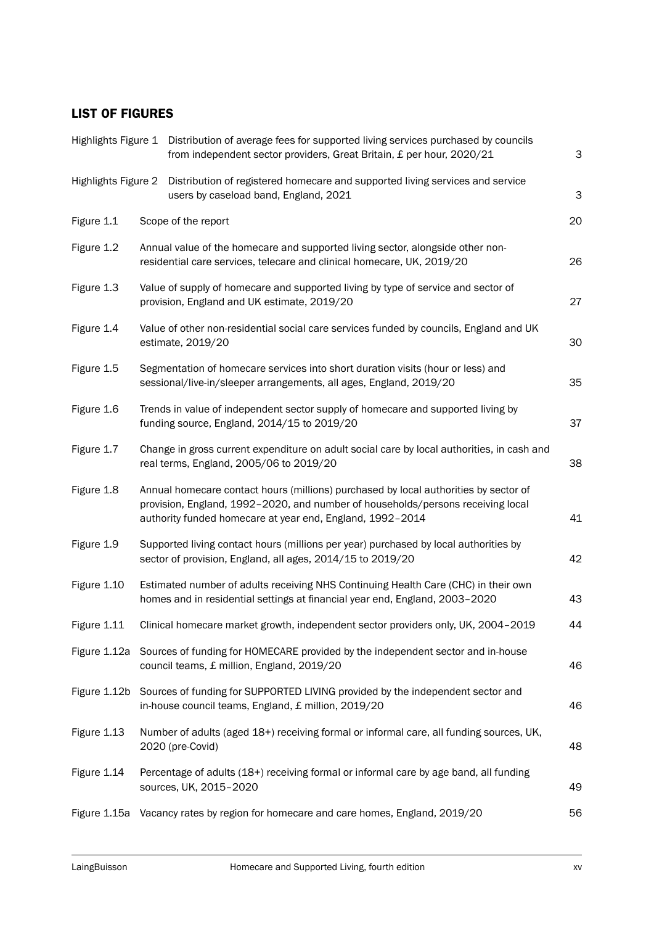## LIST OF FIGURES

|                     |  | Highlights Figure 1 Distribution of average fees for supported living services purchased by councils<br>from independent sector providers, Great Britain, £ per hour, 2020/21                                                        | 3  |
|---------------------|--|--------------------------------------------------------------------------------------------------------------------------------------------------------------------------------------------------------------------------------------|----|
| Highlights Figure 2 |  | Distribution of registered homecare and supported living services and service<br>users by caseload band, England, 2021                                                                                                               | 3  |
| Figure 1.1          |  | Scope of the report                                                                                                                                                                                                                  | 20 |
| Figure 1.2          |  | Annual value of the homecare and supported living sector, alongside other non-<br>residential care services, telecare and clinical homecare, UK, 2019/20                                                                             | 26 |
| Figure 1.3          |  | Value of supply of homecare and supported living by type of service and sector of<br>provision, England and UK estimate, 2019/20                                                                                                     | 27 |
| Figure 1.4          |  | Value of other non-residential social care services funded by councils, England and UK<br>estimate, 2019/20                                                                                                                          | 30 |
| Figure 1.5          |  | Segmentation of homecare services into short duration visits (hour or less) and<br>sessional/live-in/sleeper arrangements, all ages, England, 2019/20                                                                                | 35 |
| Figure 1.6          |  | Trends in value of independent sector supply of homecare and supported living by<br>funding source, England, 2014/15 to 2019/20                                                                                                      | 37 |
| Figure 1.7          |  | Change in gross current expenditure on adult social care by local authorities, in cash and<br>real terms, England, 2005/06 to 2019/20                                                                                                | 38 |
| Figure 1.8          |  | Annual homecare contact hours (millions) purchased by local authorities by sector of<br>provision, England, 1992-2020, and number of households/persons receiving local<br>authority funded homecare at year end, England, 1992-2014 | 41 |
| Figure 1.9          |  | Supported living contact hours (millions per year) purchased by local authorities by<br>sector of provision, England, all ages, 2014/15 to 2019/20                                                                                   | 42 |
| Figure 1.10         |  | Estimated number of adults receiving NHS Continuing Health Care (CHC) in their own<br>homes and in residential settings at financial year end, England, 2003-2020                                                                    | 43 |
|                     |  | Figure 1.11 Clinical homecare market growth, independent sector providers only, UK, 2004-2019                                                                                                                                        | 44 |
|                     |  | Figure 1.12a Sources of funding for HOMECARE provided by the independent sector and in-house<br>council teams, £ million, England, 2019/20                                                                                           | 46 |
|                     |  | Figure 1.12b Sources of funding for SUPPORTED LIVING provided by the independent sector and<br>in-house council teams, England, £ million, 2019/20                                                                                   | 46 |
| Figure 1.13         |  | Number of adults (aged 18+) receiving formal or informal care, all funding sources, UK,<br>2020 (pre-Covid)                                                                                                                          | 48 |
| Figure 1.14         |  | Percentage of adults (18+) receiving formal or informal care by age band, all funding<br>sources, UK, 2015-2020                                                                                                                      | 49 |
|                     |  | Figure 1.15a Vacancy rates by region for homecare and care homes, England, 2019/20                                                                                                                                                   | 56 |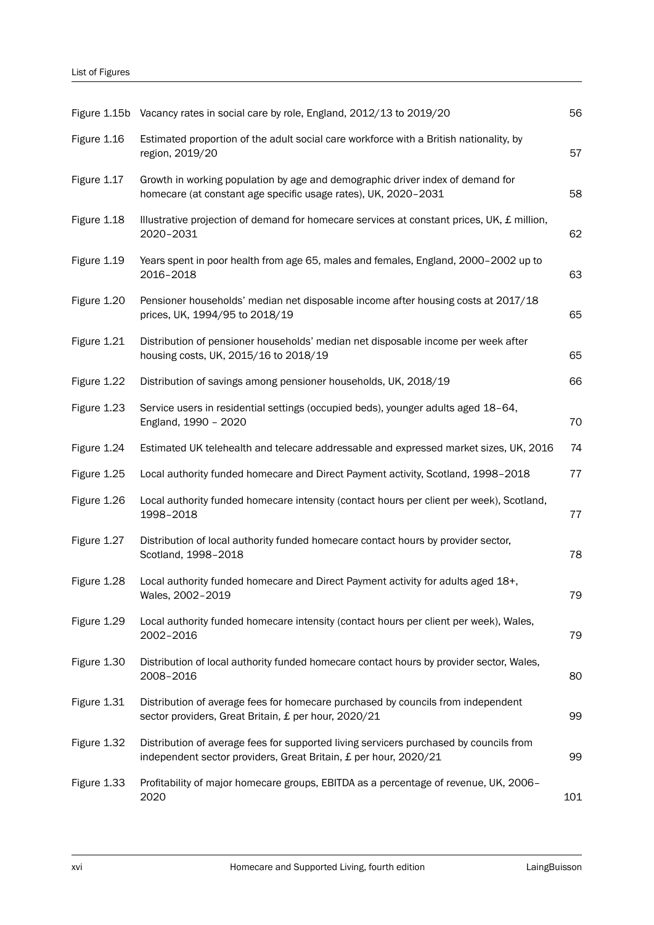|             | Figure 1.15b Vacancy rates in social care by role, England, 2012/13 to 2019/20                                                                             | 56  |
|-------------|------------------------------------------------------------------------------------------------------------------------------------------------------------|-----|
| Figure 1.16 | Estimated proportion of the adult social care workforce with a British nationality, by<br>region, 2019/20                                                  | 57  |
| Figure 1.17 | Growth in working population by age and demographic driver index of demand for<br>homecare (at constant age specific usage rates), UK, 2020-2031           | 58  |
| Figure 1.18 | Illustrative projection of demand for homecare services at constant prices, UK, £ million,<br>2020-2031                                                    | 62  |
| Figure 1.19 | Years spent in poor health from age 65, males and females, England, 2000-2002 up to<br>2016-2018                                                           | 63  |
| Figure 1.20 | Pensioner households' median net disposable income after housing costs at 2017/18<br>prices, UK, 1994/95 to 2018/19                                        | 65  |
| Figure 1.21 | Distribution of pensioner households' median net disposable income per week after<br>housing costs, UK, 2015/16 to 2018/19                                 | 65  |
| Figure 1.22 | Distribution of savings among pensioner households, UK, 2018/19                                                                                            | 66  |
| Figure 1.23 | Service users in residential settings (occupied beds), younger adults aged 18-64,<br>England, 1990 - 2020                                                  | 70  |
| Figure 1.24 | Estimated UK telehealth and telecare addressable and expressed market sizes, UK, 2016                                                                      | 74  |
| Figure 1.25 | Local authority funded homecare and Direct Payment activity, Scotland, 1998-2018                                                                           | 77  |
| Figure 1.26 | Local authority funded homecare intensity (contact hours per client per week), Scotland,<br>1998-2018                                                      | 77  |
| Figure 1.27 | Distribution of local authority funded homecare contact hours by provider sector,<br>Scotland, 1998-2018                                                   | 78  |
| Figure 1.28 | Local authority funded homecare and Direct Payment activity for adults aged 18+,<br>Wales, 2002-2019                                                       | 79  |
| Figure 1.29 | Local authority funded homecare intensity (contact hours per client per week), Wales,<br>2002-2016                                                         | 79  |
| Figure 1.30 | Distribution of local authority funded homecare contact hours by provider sector, Wales,<br>2008-2016                                                      | 80  |
| Figure 1.31 | Distribution of average fees for homecare purchased by councils from independent<br>sector providers, Great Britain, £ per hour, 2020/21                   | 99  |
| Figure 1.32 | Distribution of average fees for supported living servicers purchased by councils from<br>independent sector providers, Great Britain, £ per hour, 2020/21 | 99  |
| Figure 1.33 | Profitability of major homecare groups, EBITDA as a percentage of revenue, UK, 2006-<br>2020                                                               | 101 |